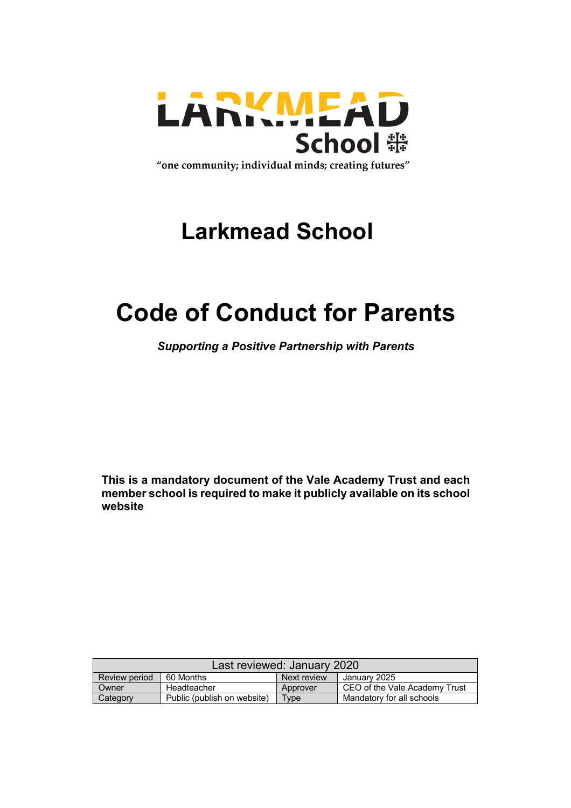

"one community; individual minds; creating futures"

# **Larkmead School**

# **Code of Conduct for Parents**

*Supporting a Positive Partnership with Parents*

**This is a mandatory document of the Vale Academy Trust and each member school is required to make it publicly available on its school website**

| Last reviewed: January 2020 |                             |             |                               |
|-----------------------------|-----------------------------|-------------|-------------------------------|
| Review period               | 60 Months                   | Next review | January 2025                  |
| Owner                       | Headteacher                 | Approver    | CEO of the Vale Academy Trust |
| Category                    | Public (publish on website) | Type        | Mandatory for all schools     |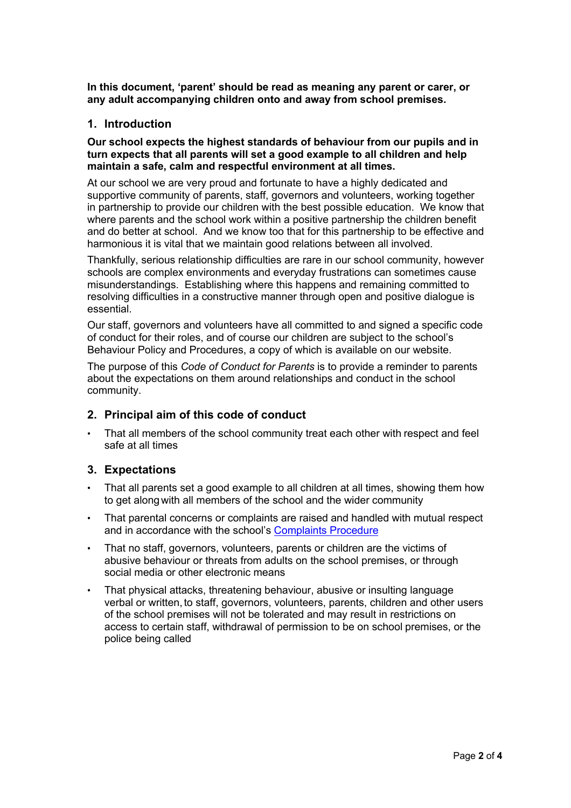**In this document, 'parent' should be read as meaning any parent or carer, or any adult accompanying children onto and away from school premises.**

## **1. Introduction**

## **Our school expects the highest standards of behaviour from our pupils and in turn expects that all parents will set a good example to all children and help maintain a safe, calm and respectful environment at all times.**

At our school we are very proud and fortunate to have a highly dedicated and supportive community of parents, staff, governors and volunteers, working together in partnership to provide our children with the best possible education. We know that where parents and the school work within a positive partnership the children benefit and do better at school. And we know too that for this partnership to be effective and harmonious it is vital that we maintain good relations between all involved.

Thankfully, serious relationship difficulties are rare in our school community, however schools are complex environments and everyday frustrations can sometimes cause misunderstandings. Establishing where this happens and remaining committed to resolving difficulties in a constructive manner through open and positive dialogue is essential.

Our staff, governors and volunteers have all committed to and signed a specific code of conduct for their roles, and of course our children are subject to the school's Behaviour Policy and Procedures, a copy of which is available on our website.

The purpose of this *Code of Conduct for Parents* is to provide a reminder to parents about the expectations on them around relationships and conduct in the school community.

## **2. Principal aim of this code of conduct**

• That all members of the school community treat each other with respect and feel safe at all times

## **3. Expectations**

- That all parents set a good example to all children at all times, showing them how to get alongwith all members of the school and the wider community
- That parental concerns or complaints are raised and handled with mutual respect and in accordance with the school's Complaints Procedure
- That no staff, governors, volunteers, parents or children are the victims of abusive behaviour or threats from adults on the school premises, or through social media or other electronic means
- That physical attacks, threatening behaviour, abusive or insulting language verbal or written, to staff, governors, volunteers, parents, children and other users of the school premises will not be tolerated and may result in restrictions on access to certain staff, withdrawal of permission to be on school premises, or the police being called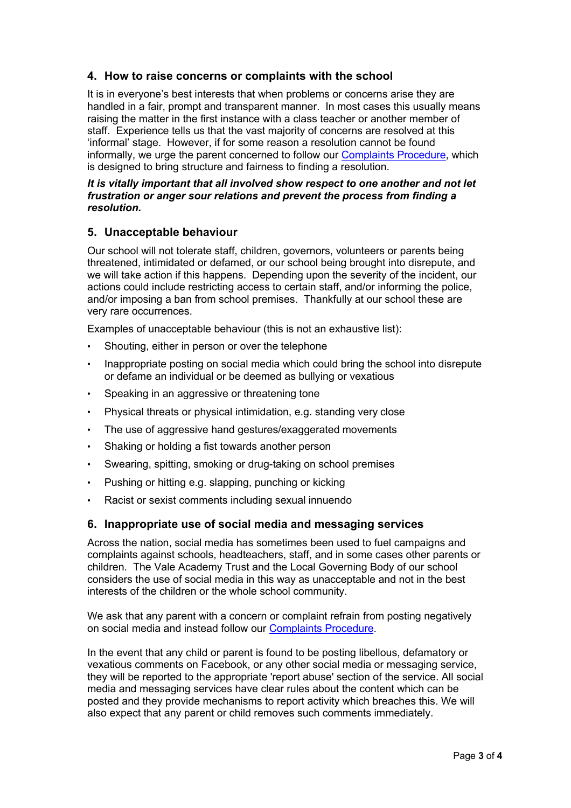# **4. How to raise concerns or complaints with the school**

It is in everyone's best interests that when problems or concerns arise they are handled in a fair, prompt and transparent manner. In most cases this usually means raising the matter in the first instance with a class teacher or another member of staff. Experience tells us that the vast majority of concerns are resolved at this 'informal' stage. However, if for some reason a resolution cannot be found informally, we urge the parent concerned to follow our Complaints Procedure, which is designed to bring structure and fairness to finding a resolution.

### *It is vitally important that all involved show respect to one another and not let frustration or anger sour relations and prevent the process from finding a resolution.*

# **5. Unacceptable behaviour**

Our school will not tolerate staff, children, governors, volunteers or parents being threatened, intimidated or defamed, or our school being brought into disrepute, and we will take action if this happens. Depending upon the severity of the incident, our actions could include restricting access to certain staff, and/or informing the police, and/or imposing a ban from school premises. Thankfully at our school these are very rare occurrences.

Examples of unacceptable behaviour (this is not an exhaustive list):

- Shouting, either in person or over the telephone
- Inappropriate posting on social media which could bring the school into disrepute or defame an individual or be deemed as bullying or vexatious
- Speaking in an aggressive or threatening tone
- Physical threats or physical intimidation, e.g. standing very close
- The use of aggressive hand gestures/exaggerated movements
- Shaking or holding a fist towards another person
- Swearing, spitting, smoking or drug-taking on school premises
- Pushing or hitting e.g. slapping, punching or kicking
- Racist or sexist comments including sexual innuendo

## **6. Inappropriate use of social media and messaging services**

Across the nation, social media has sometimes been used to fuel campaigns and complaints against schools, headteachers, staff, and in some cases other parents or children. The Vale Academy Trust and the Local Governing Body of our school considers the use of social media in this way as unacceptable and not in the best interests of the children or the whole school community.

We ask that any parent with a concern or complaint refrain from posting negatively on social media and instead follow our Complaints Procedure.

In the event that any child or parent is found to be posting libellous, defamatory or vexatious comments on Facebook, or any other social media or messaging service, they will be reported to the appropriate 'report abuse' section of the service. All social media and messaging services have clear rules about the content which can be posted and they provide mechanisms to report activity which breaches this. We will also expect that any parent or child removes such comments immediately.